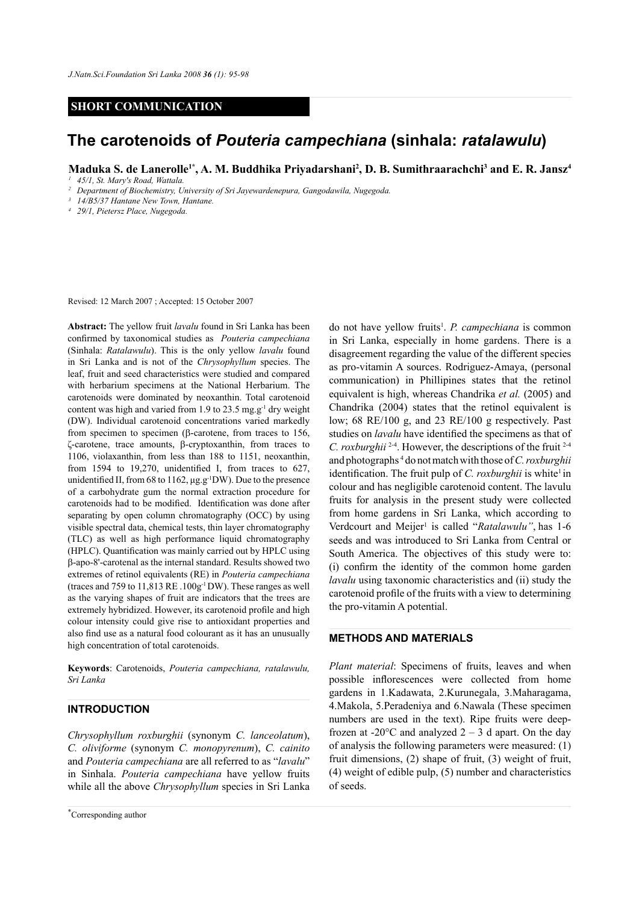## **SHORT COMMUNICATION**

# **The carotenoids of** *Pouteria campechiana* **(sinhala:** *ratalawulu***)**

**Maduka S. de Lanerolle1\*, A. M. Buddhika Priyadarshani2 , D. B. Sumithraarachchi3 and E. R. Jansz4**

*<sup>1</sup> 45/1, St. Mary's Road, Wattala.*

*<sup>2</sup> Department of Biochemistry, University of Sri Jayewardenepura, Gangodawila, Nugegoda.*

*<sup>3</sup> 14/B5/37 Hantane New Town, Hantane.*

*<sup>4</sup> 29/1, Pietersz Place, Nugegoda.*

Revised: 12 March 2007 ; Accepted: 15 October 2007

**Abstract:** The yellow fruit *lavalu* found in Sri Lanka has been confirmed by taxonomical studies as *Pouteria campechiana*  (Sinhala: *Ratalawulu*). This is the only yellow *lavalu* found in Sri Lanka and is not of the *Chrysophyllum* species. The leaf, fruit and seed characteristics were studied and compared with herbarium specimens at the National Herbarium. The carotenoids were dominated by neoxanthin. Total carotenoid content was high and varied from 1.9 to 23.5 mg.g-1 dry weight (DW). Individual carotenoid concentrations varied markedly from specimen to specimen (β-carotene, from traces to 156, ζ-carotene, trace amounts, β-cryptoxanthin, from traces to 1106, violaxanthin, from less than 188 to 1151, neoxanthin, from 1594 to 19,270, unidentified I, from traces to 627, unidentified II, from 68 to 1162, μg.g-1DW). Due to the presence of a carbohydrate gum the normal extraction procedure for carotenoids had to be modified. Identification was done after separating by open column chromatography (OCC) by using visible spectral data, chemical tests, thin layer chromatography (TLC) as well as high performance liquid chromatography (HPLC). Quantification was mainly carried out by HPLC using β-apo-8'-carotenal as the internal standard. Results showed two extremes of retinol equivalents (RE) in *Pouteria campechiana* (traces and 759 to 11,813 RE .100g-1 DW). These ranges as well as the varying shapes of fruit are indicators that the trees are extremely hybridized. However, its carotenoid profile and high colour intensity could give rise to antioxidant properties and also find use as a natural food colourant as it has an unusually high concentration of total carotenoids.

**Keywords**: Carotenoids, *Pouteria campechiana, ratalawulu, Sri Lanka* 

# **INTRODUCTION**

*Chrysophyllum roxburghii* (synonym *C. lanceolatum*), *C. oliviforme* (synonym *C. monopyrenum*), *C. cainito* and *Pouteria campechiana* are all referred to as "*lavalu*" in Sinhala. *Pouteria campechiana* have yellow fruits while all the above *Chrysophyllum* species in Sri Lanka

do not have yellow fruits<sup>1</sup>. *P. campechiana* is common in Sri Lanka, especially in home gardens. There is a disagreement regarding the value of the different species as pro-vitamin A sources. Rodriguez-Amaya, (personal communication) in Phillipines states that the retinol equivalent is high, whereas Chandrika *et al.* (2005) and Chandrika (2004) states that the retinol equivalent is low; 68 RE/100 g, and 23 RE/100 g respectively. Past studies on *lavalu* have identified the specimens as that of *C. roxburghii* <sup>2-4</sup>. However, the descriptions of the fruit <sup>2-4</sup> and photographs 4 do not match with those of *C. roxburghii* identification. The fruit pulp of *C. roxburghii* is white<sup>1</sup> in colour and has negligible carotenoid content. The lavulu fruits for analysis in the present study were collected from home gardens in Sri Lanka, which according to Verdcourt and Meijer<sup>1</sup> is called "*Ratalawulu"*, has 1-6 seeds and was introduced to Sri Lanka from Central or South America. The objectives of this study were to: (i) confirm the identity of the common home garden *lavalu* using taxonomic characteristics and (ii) study the carotenoid profile of the fruits with a view to determining the pro-vitamin A potential.

# **METHODS AND MATERIALS**

*Plant material*: Specimens of fruits, leaves and when possible inflorescences were collected from home gardens in 1.Kadawata, 2.Kurunegala, 3.Maharagama, 4.Makola, 5.Peradeniya and 6.Nawala (These specimen numbers are used in the text). Ripe fruits were deepfrozen at -20 $^{\circ}$ C and analyzed 2 – 3 d apart. On the day of analysis the following parameters were measured: (1) fruit dimensions, (2) shape of fruit, (3) weight of fruit, (4) weight of edible pulp, (5) number and characteristics of seeds.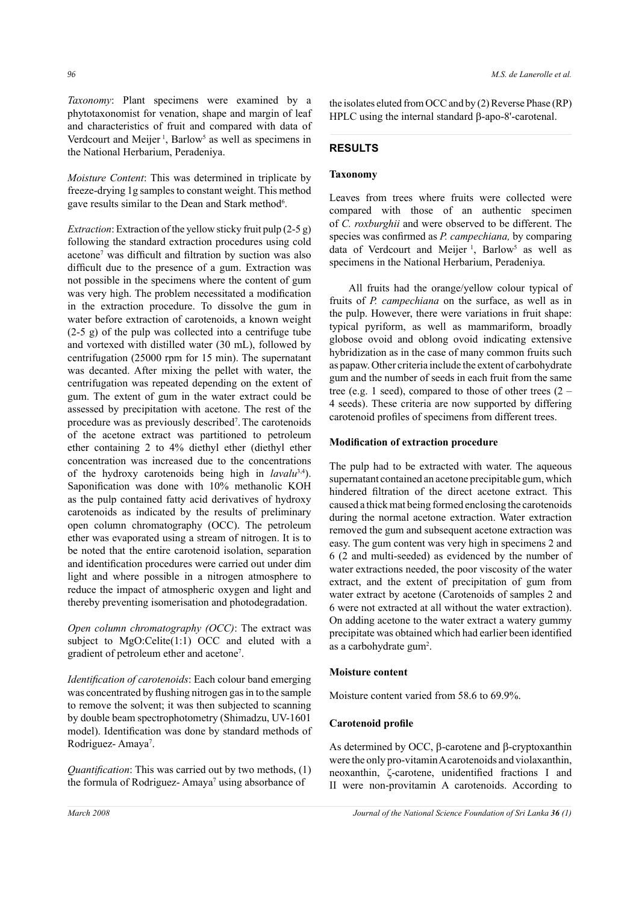*Taxonomy*: Plant specimens were examined by a phytotaxonomist for venation, shape and margin of leaf and characteristics of fruit and compared with data of Verdcourt and Meijer<sup>1</sup>, Barlow<sup>5</sup> as well as specimens in the National Herbarium, Peradeniya.

*Moisture Content*: This was determined in triplicate by freeze-drying 1g samples to constant weight. This method gave results similar to the Dean and Stark method<sup>6</sup>.

*Extraction*: Extraction of the yellow sticky fruit pulp (2-5 g) following the standard extraction procedures using cold acetone7 was difficult and filtration by suction was also difficult due to the presence of a gum. Extraction was not possible in the specimens where the content of gum was very high. The problem necessitated a modification in the extraction procedure. To dissolve the gum in water before extraction of carotenoids, a known weight (2-5 g) of the pulp was collected into a centrifuge tube and vortexed with distilled water (30 mL), followed by centrifugation (25000 rpm for 15 min). The supernatant was decanted. After mixing the pellet with water, the centrifugation was repeated depending on the extent of gum. The extent of gum in the water extract could be assessed by precipitation with acetone. The rest of the procedure was as previously described<sup>7</sup>. The carotenoids of the acetone extract was partitioned to petroleum ether containing 2 to 4% diethyl ether (diethyl ether concentration was increased due to the concentrations of the hydroxy carotenoids being high in *lavalu*3,4). Saponification was done with 10% methanolic KOH as the pulp contained fatty acid derivatives of hydroxy carotenoids as indicated by the results of preliminary open column chromatography (OCC). The petroleum ether was evaporated using a stream of nitrogen. It is to be noted that the entire carotenoid isolation, separation and identification procedures were carried out under dim light and where possible in a nitrogen atmosphere to reduce the impact of atmospheric oxygen and light and thereby preventing isomerisation and photodegradation.

*Open column chromatography (OCC)*: The extract was subject to  $MgO:$ : Celite $(1:1)$  OCC and eluted with a gradient of petroleum ether and acetone7 .

*Identification of carotenoids*: Each colour band emerging was concentrated by flushing nitrogen gas in to the sample to remove the solvent; it was then subjected to scanning by double beam spectrophotometry (Shimadzu, UV-1601 model). Identification was done by standard methods of Rodriguez-Amaya<sup>7</sup>.

*Quantification*: This was carried out by two methods, (1) the formula of Rodriguez-Amaya<sup>7</sup> using absorbance of

the isolates eluted from OCC and by (2) Reverse Phase (RP) HPLC using the internal standard β-apo-8'-carotenal.

# **RESULTS**

## **Taxonomy**

Leaves from trees where fruits were collected were compared with those of an authentic specimen of *C. roxburghii* and were observed to be different. The species was confirmed as *P. campechiana,* by comparing data of Verdcourt and Meijer<sup>1</sup>, Barlow<sup>5</sup> as well as specimens in the National Herbarium, Peradeniya.

All fruits had the orange/yellow colour typical of fruits of *P. campechiana* on the surface, as well as in the pulp. However, there were variations in fruit shape: typical pyriform, as well as mammariform, broadly globose ovoid and oblong ovoid indicating extensive hybridization as in the case of many common fruits such as papaw. Other criteria include the extent of carbohydrate gum and the number of seeds in each fruit from the same tree (e.g. 1 seed), compared to those of other trees  $(2 -$ 4 seeds). These criteria are now supported by differing carotenoid profiles of specimens from different trees.

#### **Modification of extraction procedure**

The pulp had to be extracted with water. The aqueous supernatant contained an acetone precipitable gum, which hindered filtration of the direct acetone extract. This caused a thick mat being formed enclosing the carotenoids during the normal acetone extraction. Water extraction removed the gum and subsequent acetone extraction was easy. The gum content was very high in specimens 2 and 6 (2 and multi-seeded) as evidenced by the number of water extractions needed, the poor viscosity of the water extract, and the extent of precipitation of gum from water extract by acetone (Carotenoids of samples 2 and 6 were not extracted at all without the water extraction). On adding acetone to the water extract a watery gummy precipitate was obtained which had earlier been identified as a carbohydrate gum2 .

#### **Moisture content**

Moisture content varied from 58.6 to 69.9%.

#### **Carotenoid profile**

As determined by OCC, β-carotene and β-cryptoxanthin were the only pro-vitamin A carotenoids and violaxanthin, neoxanthin, ζ-carotene, unidentified fractions I and II were non-provitamin A carotenoids. According to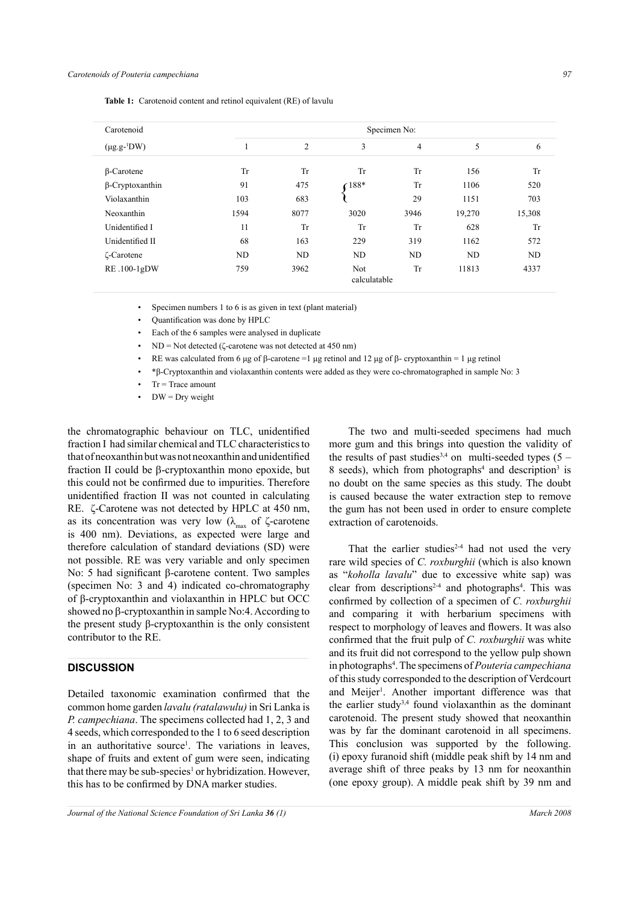| Carotenoid<br>$(\mu$ g.g- <sup>1</sup> DW) | Specimen No: |                |                     |           |                |        |
|--------------------------------------------|--------------|----------------|---------------------|-----------|----------------|--------|
|                                            |              | $\overline{c}$ | 3                   | 4         | 5              | 6      |
| <b>B-Carotene</b>                          | Tr           | Tr             | Tr                  | Tr        | 156            | Tr     |
| $\beta$ -Cryptoxanthin                     | 91           | 475            | 188*                | Tr        | 1106           | 520    |
| Violaxanthin                               | 103          | 683            |                     | 29        | 1151           | 703    |
| Neoxanthin                                 | 1594         | 8077           | 3020                | 3946      | 19,270         | 15,308 |
| Unidentified I                             | 11           | Tr             | Tr                  | Tr        | 628            | Tr     |
| Unidentified II                            | 68           | 163            | 229                 | 319       | 1162           | 572    |
| <b>C</b> -Carotene                         | ND           | ND             | ND                  | ND        | N <sub>D</sub> | ND     |
| RE.100-1gDW                                | 759          | 3962           | Not<br>calculatable | <b>Tr</b> | 11813          | 4337   |

**Table 1:** Carotenoid content and retinol equivalent (RE) of lavulu

Specimen numbers 1 to 6 is as given in text (plant material)

• Quantification was done by HPLC

Each of the 6 samples were analysed in duplicate

• ND = Not detected (ζ-carotene was not detected at 450 nm)

RE was calculated from 6 μg of β-carotene =1 μg retinol and 12 μg of β- cryptoxanthin = 1 μg retinol

• \*β-Cryptoxanthin and violaxanthin contents were added as they were co-chromatographed in sample No: 3

 $Tr = Trace$  amount

 $DW = Dry$  weight

the chromatographic behaviour on TLC, unidentified fraction I had similar chemical and TLC characteristics to that of neoxanthin but was not neoxanthin and unidentified fraction II could be β-cryptoxanthin mono epoxide, but this could not be confirmed due to impurities. Therefore unidentified fraction II was not counted in calculating RE. ζ-Carotene was not detected by HPLC at 450 nm, as its concentration was very low ( $\lambda_{\text{max}}$  of  $\zeta$ -carotene is 400 nm). Deviations, as expected were large and therefore calculation of standard deviations (SD) were not possible. RE was very variable and only specimen No: 5 had significant β-carotene content. Two samples (specimen No: 3 and 4) indicated co-chromatography of β-cryptoxanthin and violaxanthin in HPLC but OCC showed no β-cryptoxanthin in sample No:4. According to the present study β-cryptoxanthin is the only consistent contributor to the RE.

## **DISCUSSION**

Detailed taxonomic examination confirmed that the common home garden *lavalu (ratalawulu)* in Sri Lanka is *P. campechiana*. The specimens collected had 1, 2, 3 and 4 seeds, which corresponded to the 1 to 6 seed description in an authoritative source<sup>1</sup>. The variations in leaves, shape of fruits and extent of gum were seen, indicating that there may be sub-species<sup>1</sup> or hybridization. However, this has to be confirmed by DNA marker studies.

The two and multi-seeded specimens had much more gum and this brings into question the validity of the results of past studies<sup>3,4</sup> on multi-seeded types  $(5 -$ 8 seeds), which from photographs<sup>4</sup> and description<sup>3</sup> is no doubt on the same species as this study. The doubt is caused because the water extraction step to remove the gum has not been used in order to ensure complete extraction of carotenoids.

That the earlier studies<sup>2-4</sup> had not used the very rare wild species of *C. roxburghii* (which is also known as "*koholla lavalu*" due to excessive white sap) was clear from descriptions<sup>2-4</sup> and photographs<sup>4</sup>. This was confirmed by collection of a specimen of *C. roxburghii* and comparing it with herbarium specimens with respect to morphology of leaves and flowers. It was also confirmed that the fruit pulp of *C. roxburghii* was white and its fruit did not correspond to the yellow pulp shown in photographs4 . The specimens of *Pouteria campechiana* of this study corresponded to the description of Verdcourt and Meijer<sup>1</sup>. Another important difference was that the earlier study<sup>3,4</sup> found violaxanthin as the dominant carotenoid. The present study showed that neoxanthin was by far the dominant carotenoid in all specimens. This conclusion was supported by the following. (i) epoxy furanoid shift (middle peak shift by 14 nm and average shift of three peaks by 13 nm for neoxanthin (one epoxy group). A middle peak shift by 39 nm and

*Journal of the National Science Foundation of Sri Lanka* **36** (1) March 2008